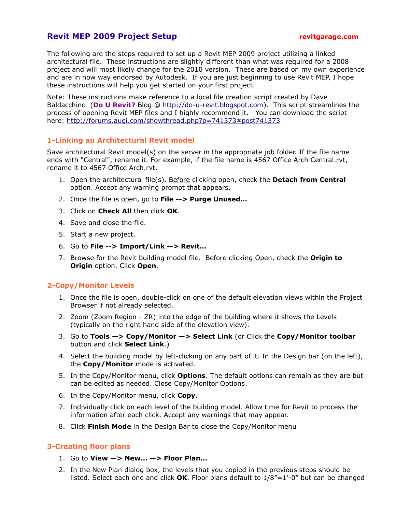The following are the steps required to set up a Revit MEP 2009 project utilizing a linked architectural file. These instructions are slightly different than what was required for a 2008 project and will most likely change for the 2010 version. These are based on my own experience and are in now way endorsed by Autodesk. If you are just beginning to use Revit MEP, I hope these instructions will help you get started on your first project.

Note: These instructions make reference to a local file creation script created by Dave Baldacchino (Do U Revit? Blog @ http://do-u-revit.blogspot.com). This script streamlines the process of opening Revit MEP files and I highly recommend it. You can download the script here: http://forums.augi.com/showthread.php?p=741373#post741373

## 1-Linking an Architectural Revit model

Save architectural Revit model(s) on the server in the appropriate job folder. If the file name ends with "Central", rename it. For example, if the file name is 4567 Office Arch Central.rvt, rename it to 4567 Office Arch.rvt.

- 1. Open the architectural file(s). Before clicking open, check the Detach from Central option. Accept any warning prompt that appears.
- 2. Once the file is open, go to File --> Purge Unused...
- 3. Click on **Check All** then click OK.
- 4. Save and close the file.
- 5. Start a new project.
- 6. Go to File --> Import/Link --> Revit…
- 7. Browse for the Revit building model file. Before clicking Open, check the Origin to Origin option. Click Open.

### 2-Copy/Monitor Levels

- 1. Once the file is open, double-click on one of the default elevation views within the Project Browser if not already selected.
- 2. Zoom (Zoom Region ZR) into the edge of the building where it shows the Levels (typically on the right hand side of the elevation view).
- 3. Go to Tools —> Copy/Monitor —> Select Link (or Click the Copy/Monitor toolbar button and click Select Link.)
- 4. Select the building model by left-clicking on any part of it. In the Design bar (on the left), the Copy/Monitor mode is activated.
- 5. In the Copy/Monitor menu, click **Options**. The default options can remain as they are but can be edited as needed. Close Copy/Monitor Options.
- 6. In the Copy/Monitor menu, click Copy.
- 7. Individually click on each level of the building model. Allow time for Revit to process the information after each click. Accept any warnings that may appear.
- 8. Click Finish Mode in the Design Bar to close the Copy/Monitor menu

## 3-Creating floor plans

- 1. Go to View  $\rightarrow$  New...  $\rightarrow$  Floor Plan...
- 2. In the New Plan dialog box, the levels that you copied in the previous steps should be listed. Select each one and click **OK**. Floor plans default to  $1/8" = 1'-0"$  but can be changed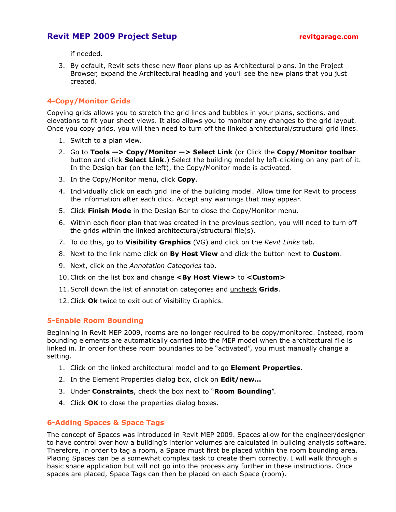if needed.

3. By default, Revit sets these new floor plans up as Architectural plans. In the Project Browser, expand the Architectural heading and you'll see the new plans that you just created.

## 4-Copy/Monitor Grids

Copying grids allows you to stretch the grid lines and bubbles in your plans, sections, and elevations to fit your sheet views. It also allows you to monitor any changes to the grid layout. Once you copy grids, you will then need to turn off the linked architectural/structural grid lines.

- 1. Switch to a plan view.
- 2. Go to Tools —> Copy/Monitor —> Select Link (or Click the Copy/Monitor toolbar button and click **Select Link**.) Select the building model by left-clicking on any part of it. In the Design bar (on the left), the Copy/Monitor mode is activated.
- 3. In the Copy/Monitor menu, click Copy.
- 4. Individually click on each grid line of the building model. Allow time for Revit to process the information after each click. Accept any warnings that may appear.
- 5. Click Finish Mode in the Design Bar to close the Copy/Monitor menu.
- 6. Within each floor plan that was created in the previous section, you will need to turn off the grids within the linked architectural/structural file(s).
- 7. To do this, go to Visibility Graphics (VG) and click on the Revit Links tab.
- 8. Next to the link name click on By Host View and click the button next to Custom.
- 9. Next, click on the Annotation Categories tab.
- 10. Click on the list box and change <By Host View> to <Custom>
- 11. Scroll down the list of annotation categories and uncheck Grids.
- 12. Click Ok twice to exit out of Visibility Graphics.

### 5-Enable Room Bounding

Beginning in Revit MEP 2009, rooms are no longer required to be copy/monitored. Instead, room bounding elements are automatically carried into the MEP model when the architectural file is linked in. In order for these room boundaries to be "activated", you must manually change a setting.

- 1. Click on the linked architectural model and to go **Element Properties**.
- 2. In the Element Properties dialog box, click on **Edit/new...**
- 3. Under Constraints, check the box next to "Room Bounding".
- 4. Click OK to close the properties dialog boxes.

### 6-Adding Spaces & Space Tags

The concept of Spaces was introduced in Revit MEP 2009. Spaces allow for the engineer/designer to have control over how a building's interior volumes are calculated in building analysis software. Therefore, in order to tag a room, a Space must first be placed within the room bounding area. Placing Spaces can be a somewhat complex task to create them correctly. I will walk through a basic space application but will not go into the process any further in these instructions. Once spaces are placed, Space Tags can then be placed on each Space (room).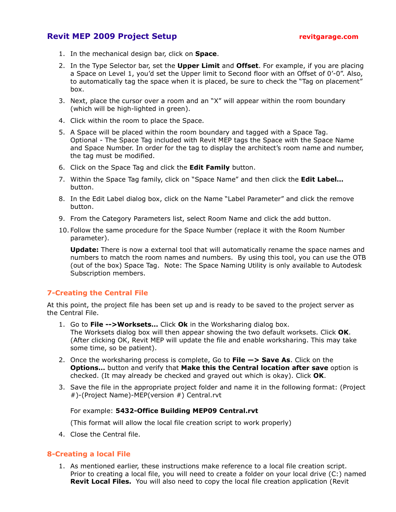- 1. In the mechanical design bar, click on Space.
- 2. In the Type Selector bar, set the Upper Limit and Offset. For example, if you are placing a Space on Level 1, you'd set the Upper limit to Second floor with an Offset of 0'-0". Also, to automatically tag the space when it is placed, be sure to check the "Tag on placement" box.
- 3. Next, place the cursor over a room and an "X" will appear within the room boundary (which will be high-lighted in green).
- 4. Click within the room to place the Space.
- 5. A Space will be placed within the room boundary and tagged with a Space Tag. Optional - The Space Tag included with Revit MEP tags the Space with the Space Name and Space Number. In order for the tag to display the architect's room name and number, the tag must be modified.
- 6. Click on the Space Tag and click the **Edit Family** button.
- 7. Within the Space Tag family, click on "Space Name" and then click the **Edit Label...** button.
- 8. In the Edit Label dialog box, click on the Name "Label Parameter" and click the remove button.
- 9. From the Category Parameters list, select Room Name and click the add button.
- 10. Follow the same procedure for the Space Number (replace it with the Room Number parameter).

Update: There is now a external tool that will automatically rename the space names and numbers to match the room names and numbers. By using this tool, you can use the OTB (out of the box) Space Tag. Note: The Space Naming Utility is only available to Autodesk Subscription members.

## 7-Creating the Central File

At this point, the project file has been set up and is ready to be saved to the project server as the Central File.

- 1. Go to File  $\rightarrow$  Worksets... Click Ok in the Worksharing dialog box. The Worksets dialog box will then appear showing the two default worksets. Click OK. (After clicking OK, Revit MEP will update the file and enable worksharing. This may take some time, so be patient).
- 2. Once the worksharing process is complete, Go to File  $\rightarrow$  Save As. Click on the Options... button and verify that Make this the Central location after save option is checked. (It may already be checked and grayed out which is okay). Click OK.
- 3. Save the file in the appropriate project folder and name it in the following format: (Project #)-(Project Name)-MEP(version #) Central.rvt

#### For example: 5432-Office Building MEP09 Central.rvt

(This format will allow the local file creation script to work properly)

4. Close the Central file.

### 8-Creating a local File

1. As mentioned earlier, these instructions make reference to a local file creation script. Prior to creating a local file, you will need to create a folder on your local drive (C:) named **Revit Local Files.** You will also need to copy the local file creation application (Revit